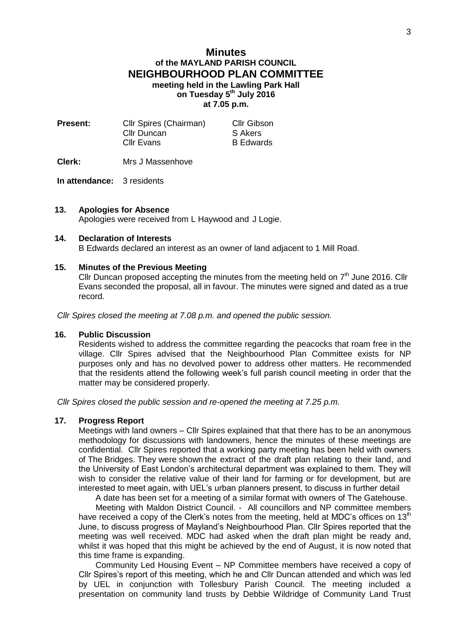# **Minutes of the MAYLAND PARISH COUNCIL NEIGHBOURHOOD PLAN COMMITTEE meeting held in the Lawling Park Hall on Tuesday 5 th July 2016 at 7.05 p.m.**

| <b>Cllr Gibson</b> |
|--------------------|
| S Akers            |
| <b>B</b> Edwards   |
|                    |

**Clerk:** Mrs J Massenhove

## **In attendance:** 3 residents

## **13. Apologies for Absence**

Apologies were received from L Haywood and J Logie.

## **14. Declaration of Interests**

B Edwards declared an interest as an owner of land adjacent to 1 Mill Road.

### **15. Minutes of the Previous Meeting**

Cllr Duncan proposed accepting the minutes from the meeting held on  $7<sup>th</sup>$  June 2016. Cllr Evans seconded the proposal, all in favour. The minutes were signed and dated as a true record.

*Cllr Spires closed the meeting at 7.08 p.m. and opened the public session.*

## **16. Public Discussion**

Residents wished to address the committee regarding the peacocks that roam free in the village. Cllr Spires advised that the Neighbourhood Plan Committee exists for NP purposes only and has no devolved power to address other matters. He recommended that the residents attend the following week's full parish council meeting in order that the matter may be considered properly.

*Cllr Spires closed the public session and re-opened the meeting at 7.25 p.m.*

### **17. Progress Report**

Meetings with land owners – Cllr Spires explained that that there has to be an anonymous methodology for discussions with landowners, hence the minutes of these meetings are confidential. Cllr Spires reported that a working party meeting has been held with owners of The Bridges. They were shown the extract of the draft plan relating to their land, and the University of East London's architectural department was explained to them. They will wish to consider the relative value of their land for farming or for development, but are interested to meet again, with UEL's urban planners present, to discuss in further detail

A date has been set for a meeting of a similar format with owners of The Gatehouse.

Meeting with Maldon District Council. - All councillors and NP committee members have received a copy of the Clerk's notes from the meeting, held at MDC's offices on  $13<sup>th</sup>$ June, to discuss progress of Mayland's Neighbourhood Plan. Cllr Spires reported that the meeting was well received. MDC had asked when the draft plan might be ready and, whilst it was hoped that this might be achieved by the end of August, it is now noted that this time frame is expanding.

Community Led Housing Event – NP Committee members have received a copy of Cllr Spires's report of this meeting, which he and Cllr Duncan attended and which was led by UEL in conjunction with Tollesbury Parish Council. The meeting included a presentation on community land trusts by Debbie Wildridge of Community Land Trust